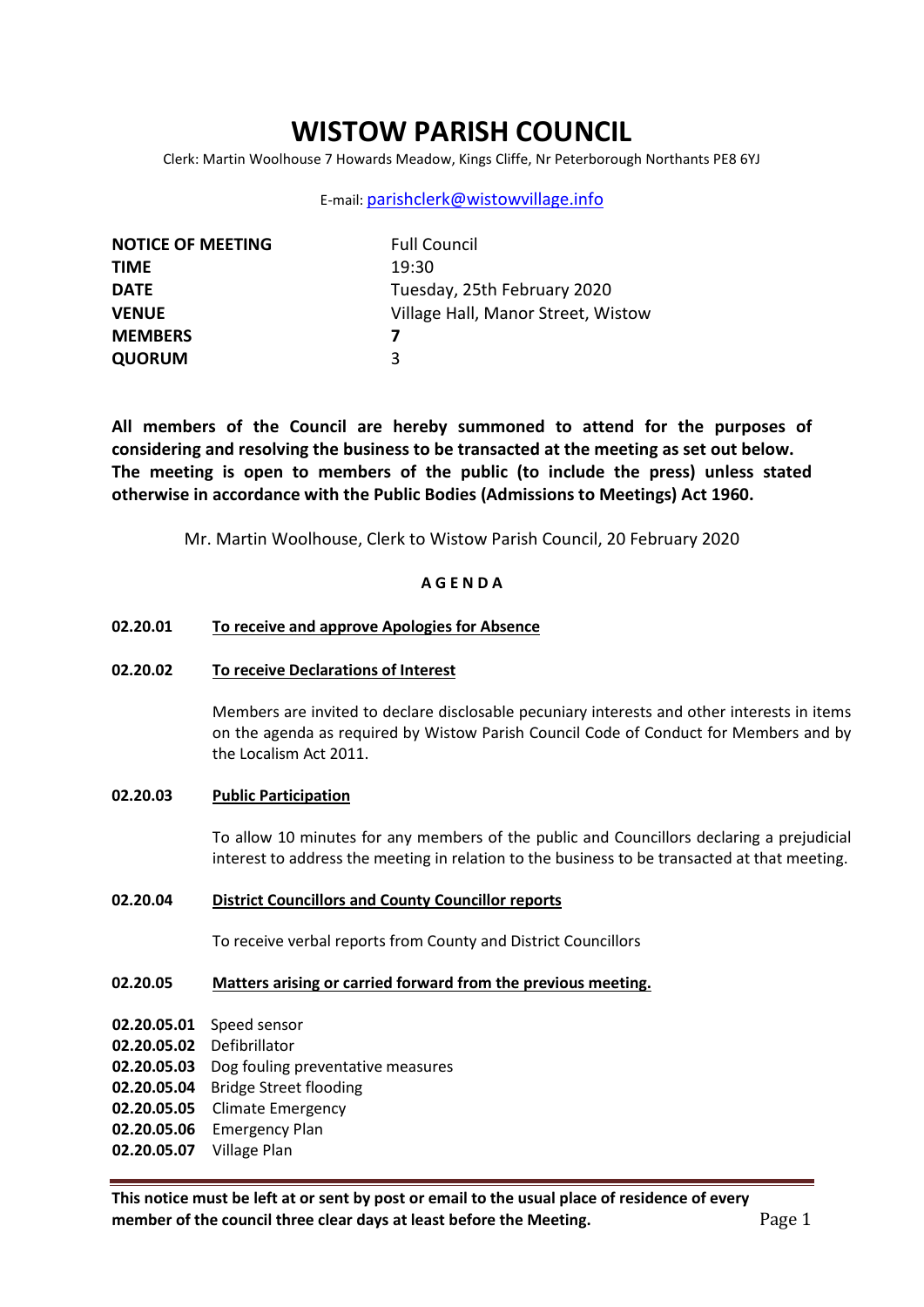# **WISTOW PARISH COUNCIL**

Clerk: Martin Woolhouse 7 Howards Meadow, Kings Cliffe, Nr Peterborough Northants PE8 6YJ

### E-mail: [parishclerk@wistowvillage.info](mailto:parishclerk@wistowvillage.info)

| <b>NOTICE OF MEETING</b> | <b>Full Council</b>                |
|--------------------------|------------------------------------|
| <b>TIME</b>              | 19:30                              |
| <b>DATE</b>              | Tuesday, 25th February 2020        |
| <b>VENUE</b>             | Village Hall, Manor Street, Wistow |
| <b>MEMBERS</b>           |                                    |
| <b>QUORUM</b>            | ર                                  |

**All members of the Council are hereby summoned to attend for the purposes of considering and resolving the business to be transacted at the meeting as set out below. The meeting is open to members of the public (to include the press) unless stated otherwise in accordance with the Public Bodies (Admissions to Meetings) Act 1960.**

Mr. Martin Woolhouse, Clerk to Wistow Parish Council, 20 February 2020

### **A G E N D A**

#### **02.20.01 To receive and approve Apologies for Absence**

#### **02.20.02 To receive Declarations of Interest**

Members are invited to declare disclosable pecuniary interests and other interests in items on the agenda as required by Wistow Parish Council Code of Conduct for Members and by the Localism Act 2011.

### **02.20.03 Public Participation**

To allow 10 minutes for any members of the public and Councillors declaring a prejudicial interest to address the meeting in relation to the business to be transacted at that meeting.

### **02.20.04 District Councillors and County Councillor reports**

To receive verbal reports from County and District Councillors

# **02.20.05 Matters arising or carried forward from the previous meeting.**

- **02.20.05.01** Speed sensor
- **02.20.05.02** Defibrillator
- **02.20.05.03** Dog fouling preventative measures
- **02.20.05.04** Bridge Street flooding
- **02.20.05.05** Climate Emergency
- **02.20.05.06** Emergency Plan
- **02.20.05.07** Village Plan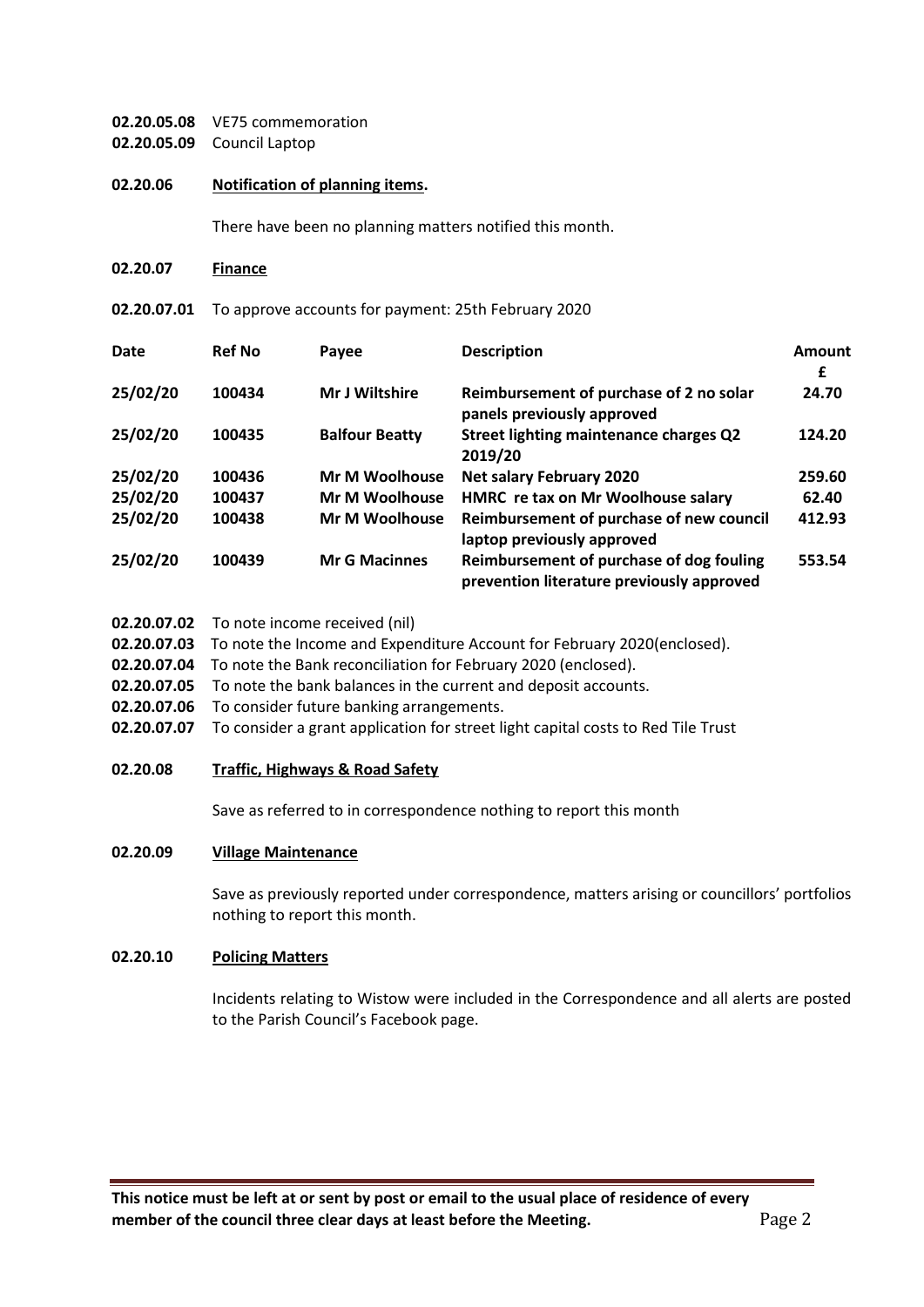# **02.20.05.08** VE75 commemoration **02.20.05.09** Council Laptop

# **02.20.06 Notification of planning items.**

There have been no planning matters notified this month.

**02.20.07 Finance**

**02.20.07.01** To approve accounts for payment: 25th February 2020

| Date     | <b>Ref No</b> | Payee                 | <b>Description</b>                                                                    | Amount<br>£ |
|----------|---------------|-----------------------|---------------------------------------------------------------------------------------|-------------|
| 25/02/20 | 100434        | <b>Mr J Wiltshire</b> | Reimbursement of purchase of 2 no solar<br>panels previously approved                 | 24.70       |
| 25/02/20 | 100435        | <b>Balfour Beatty</b> | Street lighting maintenance charges Q2<br>2019/20                                     | 124.20      |
| 25/02/20 | 100436        | <b>Mr M Woolhouse</b> | <b>Net salary February 2020</b>                                                       | 259.60      |
| 25/02/20 | 100437        | Mr M Woolhouse        | HMRC re tax on Mr Woolhouse salary                                                    | 62.40       |
| 25/02/20 | 100438        | <b>Mr M Woolhouse</b> | Reimbursement of purchase of new council<br>laptop previously approved                | 412.93      |
| 25/02/20 | 100439        | <b>Mr G Macinnes</b>  | Reimbursement of purchase of dog fouling<br>prevention literature previously approved | 553.54      |

- **02.20.07.02** To note income received (nil)
- **02.20.07.03** To note the Income and Expenditure Account for February 2020(enclosed).
- **02.20.07.04** To note the Bank reconciliation for February 2020 (enclosed).
- **02.20.07.05** To note the bank balances in the current and deposit accounts.
- **02.20.07.06** To consider future banking arrangements.
- **02.20.07.07** To consider a grant application for street light capital costs to Red Tile Trust

# **02.20.08 Traffic, Highways & Road Safety**

Save as referred to in correspondence nothing to report this month

# **02.20.09 Village Maintenance**

Save as previously reported under correspondence, matters arising or councillors' portfolios nothing to report this month.

#### **02.20.10 Policing Matters**

Incidents relating to Wistow were included in the Correspondence and all alerts are posted to the Parish Council's Facebook page.